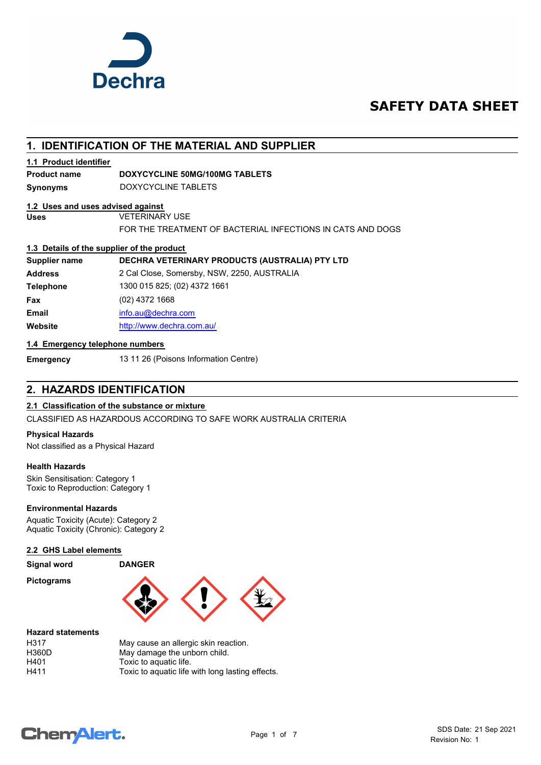

# **SAFETY DATA SHEET**

# **1. IDENTIFICATION OF THE MATERIAL AND SUPPLIER**

## **1.1 Product identifier**

#### **Product name DOXYCYCLINE 50MG/100MG TABLETS**

**Synonyms** DOXYCYCLINE TABLETS

#### **1.2 Uses and uses advised against**

**Uses** VETERINARY USE

FOR THE TREATMENT OF BACTERIAL INFECTIONS IN CATS AND DOGS

#### **1.3 Details of the supplier of the product**

| <b>Supplier name</b> | DECHRA VETERINARY PRODUCTS (AUSTRALIA) PTY LTD |
|----------------------|------------------------------------------------|
| <b>Address</b>       | 2 Cal Close, Somersby, NSW, 2250, AUSTRALIA    |
| <b>Telephone</b>     | 1300 015 825; (02) 4372 1661                   |
| Fax                  | (02) 4372 1668                                 |
| <b>Email</b>         | info.au@dechra.com                             |
| Website              | http://www.dechra.com.au/                      |

#### **1.4 Emergency telephone numbers**

**Emergency** 13 11 26 (Poisons Information Centre)

# **2. HAZARDS IDENTIFICATION**

## **2.1 Classification of the substance or mixture**

CLASSIFIED AS HAZARDOUS ACCORDING TO SAFE WORK AUSTRALIA CRITERIA

#### **Physical Hazards**

Not classified as a Physical Hazard

#### **Health Hazards**

Skin Sensitisation: Category 1 Toxic to Reproduction: Category 1

#### **Environmental Hazards**

Aquatic Toxicity (Acute): Category 2 Aquatic Toxicity (Chronic): Category 2

#### **2.2 GHS Label elements**

**Signal word DANGER**

**Pictograms**



#### **Hazard statements**

| H317  | May cause an allergic skin reaction.             |
|-------|--------------------------------------------------|
| H360D | May damage the unborn child.                     |
| H401  | Toxic to aquatic life.                           |
| H411  | Toxic to aquatic life with long lasting effects. |

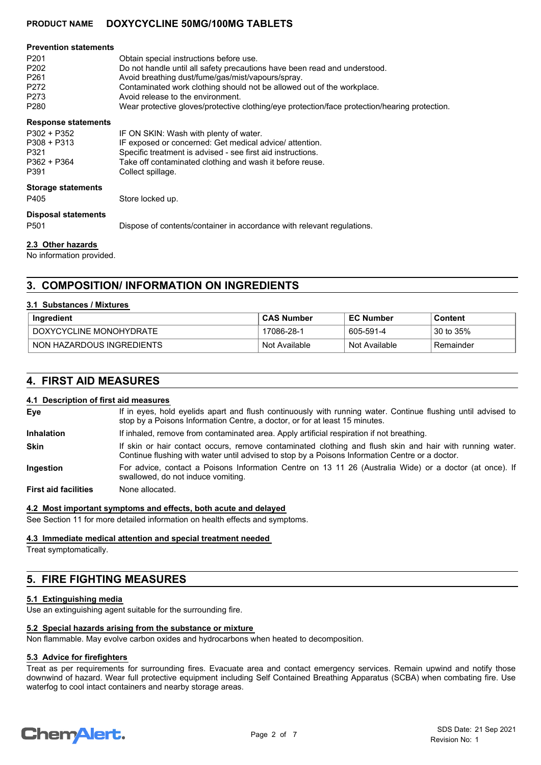## **PRODUCT NAME DOXYCYCLINE 50MG/100MG TABLETS**

| <b>Prevention statements</b><br>P <sub>201</sub><br>P <sub>202</sub><br>P <sub>261</sub><br>P <sub>272</sub><br>P273<br>P <sub>280</sub> | Obtain special instructions before use.<br>Do not handle until all safety precautions have been read and understood.<br>Avoid breathing dust/fume/gas/mist/vapours/spray.<br>Contaminated work clothing should not be allowed out of the workplace.<br>Avoid release to the environment.<br>Wear protective gloves/protective clothing/eye protection/face protection/hearing protection. |
|------------------------------------------------------------------------------------------------------------------------------------------|-------------------------------------------------------------------------------------------------------------------------------------------------------------------------------------------------------------------------------------------------------------------------------------------------------------------------------------------------------------------------------------------|
| <b>Response statements</b><br>P302 + P352<br>$P308 + P313$<br>P321<br>P362 + P364<br>P391                                                | IF ON SKIN: Wash with plenty of water.<br>IF exposed or concerned: Get medical advice/ attention.<br>Specific treatment is advised - see first aid instructions.<br>Take off contaminated clothing and wash it before reuse.<br>Collect spillage.                                                                                                                                         |
| <b>Storage statements</b><br>P405                                                                                                        | Store locked up.                                                                                                                                                                                                                                                                                                                                                                          |
| <b>Disposal statements</b><br>P <sub>501</sub>                                                                                           | Dispose of contents/container in accordance with relevant regulations.                                                                                                                                                                                                                                                                                                                    |

#### **2.3 Other hazards**

No information provided.

# **3. COMPOSITION/ INFORMATION ON INGREDIENTS**

#### **3.1 Substances / Mixtures**

| Ingredient                | <b>CAS Number</b> | <b>EC Number</b> | Content   |
|---------------------------|-------------------|------------------|-----------|
| DOXYCYCLINE MONOHYDRATE   | 17086-28-1        | 605-591-4        | 30 to 35% |
| NON HAZARDOUS INGREDIENTS | Not Available     | Not Available    | Remainder |

# **4. FIRST AID MEASURES**

#### **4.1 Description of first aid measures**

| Eye                         | If in eyes, hold eyelids apart and flush continuously with running water. Continue flushing until advised to<br>stop by a Poisons Information Centre, a doctor, or for at least 15 minutes.                 |
|-----------------------------|-------------------------------------------------------------------------------------------------------------------------------------------------------------------------------------------------------------|
| <b>Inhalation</b>           | If inhaled, remove from contaminated area. Apply artificial respiration if not breathing.                                                                                                                   |
| <b>Skin</b>                 | If skin or hair contact occurs, remove contaminated clothing and flush skin and hair with running water.<br>Continue flushing with water until advised to stop by a Poisons Information Centre or a doctor. |
| Ingestion                   | For advice, contact a Poisons Information Centre on 13 11 26 (Australia Wide) or a doctor (at once). If<br>swallowed, do not induce vomiting.                                                               |
| <b>First aid facilities</b> | None allocated.                                                                                                                                                                                             |

#### **4.2 Most important symptoms and effects, both acute and delayed**

See Section 11 for more detailed information on health effects and symptoms.

#### **4.3 Immediate medical attention and special treatment needed**

Treat symptomatically.

# **5. FIRE FIGHTING MEASURES**

#### **5.1 Extinguishing media**

Use an extinguishing agent suitable for the surrounding fire.

#### **5.2 Special hazards arising from the substance or mixture**

Non flammable. May evolve carbon oxides and hydrocarbons when heated to decomposition.

#### **5.3 Advice for firefighters**

Treat as per requirements for surrounding fires. Evacuate area and contact emergency services. Remain upwind and notify those downwind of hazard. Wear full protective equipment including Self Contained Breathing Apparatus (SCBA) when combating fire. Use waterfog to cool intact containers and nearby storage areas.

# **ChemAlert.**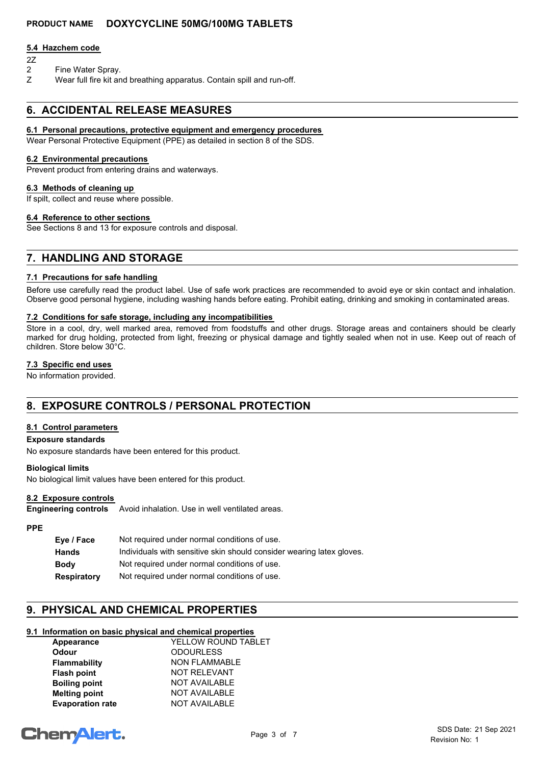## **PRODUCT NAME DOXYCYCLINE 50MG/100MG TABLETS**

#### **5.4 Hazchem code**

- 2Z
- 2 Fine Water Spray.
- Z Wear full fire kit and breathing apparatus. Contain spill and run-off.

# **6. ACCIDENTAL RELEASE MEASURES**

#### **6.1 Personal precautions, protective equipment and emergency procedures**

Wear Personal Protective Equipment (PPE) as detailed in section 8 of the SDS.

#### **6.2 Environmental precautions**

Prevent product from entering drains and waterways.

#### **6.3 Methods of cleaning up**

If spilt, collect and reuse where possible.

#### **6.4 Reference to other sections**

See Sections 8 and 13 for exposure controls and disposal.

# **7. HANDLING AND STORAGE**

#### **7.1 Precautions for safe handling**

Before use carefully read the product label. Use of safe work practices are recommended to avoid eye or skin contact and inhalation. Observe good personal hygiene, including washing hands before eating. Prohibit eating, drinking and smoking in contaminated areas.

#### **7.2 Conditions for safe storage, including any incompatibilities**

Store in a cool, dry, well marked area, removed from foodstuffs and other drugs. Storage areas and containers should be clearly marked for drug holding, protected from light, freezing or physical damage and tightly sealed when not in use. Keep out of reach of children. Store below 30°C.

#### **7.3 Specific end uses**

No information provided.

# **8. EXPOSURE CONTROLS / PERSONAL PROTECTION**

#### **8.1 Control parameters**

#### **Exposure standards**

No exposure standards have been entered for this product.

#### **Biological limits**

No biological limit values have been entered for this product.

#### **8.2 Exposure controls**

Avoid inhalation. Use in well ventilated areas. **Engineering controls**

## **PPE**

| Eye / Face         | Not required under normal conditions of use.                          |
|--------------------|-----------------------------------------------------------------------|
| <b>Hands</b>       | Individuals with sensitive skin should consider wearing latex gloves. |
| <b>Body</b>        | Not required under normal conditions of use.                          |
| <b>Respiratory</b> | Not required under normal conditions of use.                          |

# **9. PHYSICAL AND CHEMICAL PROPERTIES**

## **9.1 Information on basic physical and chemical properties**

| Appearance              | YELLOW ROUND TABLET  |
|-------------------------|----------------------|
| <b>Odour</b>            | <b>ODOURLESS</b>     |
| <b>Flammability</b>     | <b>NON FLAMMABLE</b> |
| <b>Flash point</b>      | <b>NOT RELEVANT</b>  |
| <b>Boiling point</b>    | <b>NOT AVAILABLE</b> |
| <b>Melting point</b>    | <b>NOT AVAILABLE</b> |
| <b>Evaporation rate</b> | <b>NOT AVAILABLE</b> |
|                         |                      |

# **ChemAlert.**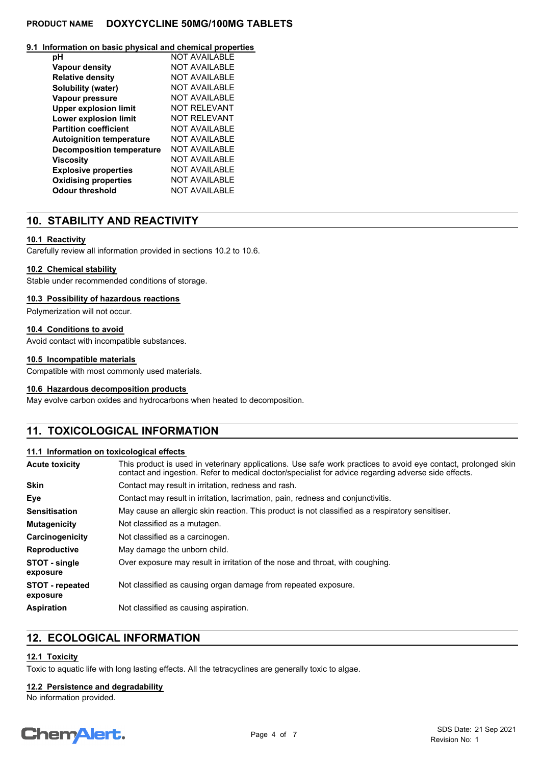## **PRODUCT NAME DOXYCYCLINE 50MG/100MG TABLETS**

#### **9.1 Information on basic physical and chemical properties**

| рH                               | <b>NOT AVAILABLE</b> |
|----------------------------------|----------------------|
| <b>Vapour density</b>            | NOT AVAILABLE        |
| <b>Relative density</b>          | NOT AVAILABLE        |
| Solubility (water)               | NOT AVAILABLE        |
| Vapour pressure                  | NOT AVAILABLE        |
| <b>Upper explosion limit</b>     | <b>NOT RELEVANT</b>  |
| Lower explosion limit            | <b>NOT RELEVANT</b>  |
| <b>Partition coefficient</b>     | NOT AVAILABLE        |
| <b>Autoignition temperature</b>  | NOT AVAILABLE        |
| <b>Decomposition temperature</b> | NOT AVAILABLE        |
| Viscosity                        | NOT AVAILABLE        |
| <b>Explosive properties</b>      | <b>NOT AVAILABLE</b> |
| <b>Oxidising properties</b>      | <b>NOT AVAILABLE</b> |
| Odour threshold                  | <b>NOT AVAILABLE</b> |

# **10. STABILITY AND REACTIVITY**

#### **10.1 Reactivity**

Carefully review all information provided in sections 10.2 to 10.6.

#### **10.2 Chemical stability**

Stable under recommended conditions of storage.

#### **10.3 Possibility of hazardous reactions**

Polymerization will not occur.

#### **10.4 Conditions to avoid**

Avoid contact with incompatible substances.

#### **10.5 Incompatible materials**

Compatible with most commonly used materials.

#### **10.6 Hazardous decomposition products**

May evolve carbon oxides and hydrocarbons when heated to decomposition.

# **11. TOXICOLOGICAL INFORMATION**

#### **11.1 Information on toxicological effects**

| <b>Acute toxicity</b>              | This product is used in veterinary applications. Use safe work practices to avoid eye contact, prolonged skin<br>contact and ingestion. Refer to medical doctor/specialist for advice regarding adverse side effects. |
|------------------------------------|-----------------------------------------------------------------------------------------------------------------------------------------------------------------------------------------------------------------------|
| Skin                               | Contact may result in irritation, redness and rash.                                                                                                                                                                   |
| Eye                                | Contact may result in irritation, lacrimation, pain, redness and conjunctivitis.                                                                                                                                      |
| Sensitisation                      | May cause an allergic skin reaction. This product is not classified as a respiratory sensitiser.                                                                                                                      |
| Mutagenicity                       | Not classified as a mutagen.                                                                                                                                                                                          |
| Carcinogenicity                    | Not classified as a carcinogen.                                                                                                                                                                                       |
| Reproductive                       | May damage the unborn child.                                                                                                                                                                                          |
| STOT - single<br>exposure          | Over exposure may result in irritation of the nose and throat, with coughing.                                                                                                                                         |
| <b>STOT - repeated</b><br>exposure | Not classified as causing organ damage from repeated exposure.                                                                                                                                                        |
| Aspiration                         | Not classified as causing aspiration.                                                                                                                                                                                 |

# **12. ECOLOGICAL INFORMATION**

## **12.1 Toxicity**

Toxic to aquatic life with long lasting effects. All the tetracyclines are generally toxic to algae.

## **12.2 Persistence and degradability**

No information provided.

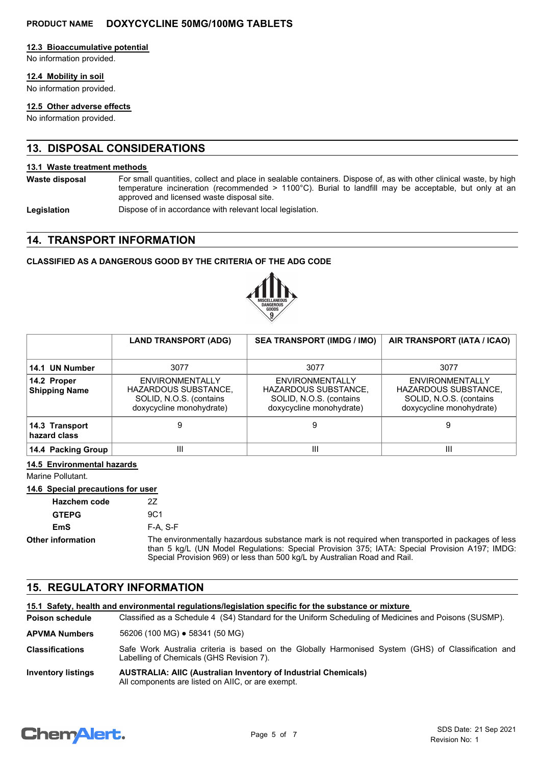#### **12.3 Bioaccumulative potential**

No information provided.

#### **12.4 Mobility in soil**

No information provided.

#### **12.5 Other adverse effects**

No information provided.

# **13. DISPOSAL CONSIDERATIONS**

#### **13.1 Waste treatment methods**

For small quantities, collect and place in sealable containers. Dispose of, as with other clinical waste, by high temperature incineration (recommended > 1100°C). Burial to landfill may be acceptable, but only at an approved and licensed waste disposal site. **Waste disposal**

**Legislation** Dispose of in accordance with relevant local legislation.

## **14. TRANSPORT INFORMATION**

## **CLASSIFIED AS A DANGEROUS GOOD BY THE CRITERIA OF THE ADG CODE**



|                                     | <b>LAND TRANSPORT (ADG)</b>                                                                           | <b>SEA TRANSPORT (IMDG / IMO)</b>                                                                     | AIR TRANSPORT (IATA / ICAO)                                                                           |
|-------------------------------------|-------------------------------------------------------------------------------------------------------|-------------------------------------------------------------------------------------------------------|-------------------------------------------------------------------------------------------------------|
| 14.1 UN Number                      | 3077                                                                                                  | 3077                                                                                                  | 3077                                                                                                  |
| 14.2 Proper<br><b>Shipping Name</b> | <b>ENVIRONMENTALLY</b><br>HAZARDOUS SUBSTANCE,<br>SOLID, N.O.S. (contains<br>doxycycline monohydrate) | ENVIRONMENTALLY<br><b>HAZARDOUS SUBSTANCE,</b><br>SOLID, N.O.S. (contains<br>doxycycline monohydrate) | ENVIRONMENTALLY<br><b>HAZARDOUS SUBSTANCE,</b><br>SOLID, N.O.S. (contains<br>doxycycline monohydrate) |
| 14.3 Transport<br>hazard class      |                                                                                                       | 9                                                                                                     | 9                                                                                                     |
| 14.4 Packing Group                  | Ш                                                                                                     | Ш                                                                                                     | $\mathbf{III}$                                                                                        |

## **14.5 Environmental hazards**

Marine Pollutant.

#### **14.6 Special precautions for user**

| <b>Hazchem code</b>      |                                                                                                                                                                                                                                                                                 |
|--------------------------|---------------------------------------------------------------------------------------------------------------------------------------------------------------------------------------------------------------------------------------------------------------------------------|
| <b>GTEPG</b>             | 9C1                                                                                                                                                                                                                                                                             |
| EmS                      | $F-A. S-F$                                                                                                                                                                                                                                                                      |
| <b>Other information</b> | The environmentally hazardous substance mark is not required when transported in packages of less<br>than 5 kg/L (UN Model Regulations: Special Provision 375; IATA: Special Provision A197; IMDG:<br>Special Provision 969) or less than 500 kg/L by Australian Road and Rail. |

# **15. REGULATORY INFORMATION**

|                           | 15.1 Safety, health and environmental requlations/legislation specific for the substance or mixture                                             |
|---------------------------|-------------------------------------------------------------------------------------------------------------------------------------------------|
| Poison schedule           | Classified as a Schedule 4 (S4) Standard for the Uniform Scheduling of Medicines and Poisons (SUSMP).                                           |
| <b>APVMA Numbers</b>      | 56206 (100 MG) • 58341 (50 MG)                                                                                                                  |
| <b>Classifications</b>    | Safe Work Australia criteria is based on the Globally Harmonised System (GHS) of Classification and<br>Labelling of Chemicals (GHS Revision 7). |
| <b>Inventory listings</b> | <b>AUSTRALIA: AIIC (Australian Inventory of Industrial Chemicals)</b><br>All components are listed on AIIC, or are exempt.                      |

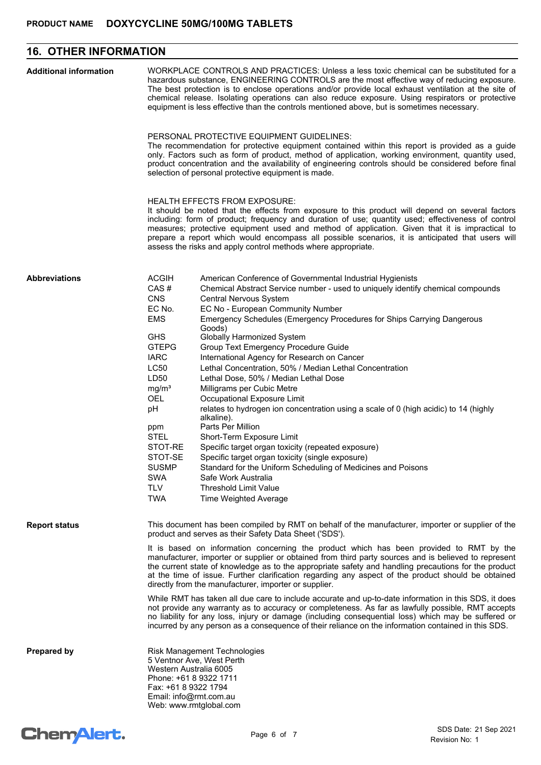# **16. OTHER INFORMATION**

| <b>Additional information</b> | WORKPLACE CONTROLS AND PRACTICES: Unless a less toxic chemical can be substituted for a<br>hazardous substance, ENGINEERING CONTROLS are the most effective way of reducing exposure.<br>The best protection is to enclose operations and/or provide local exhaust ventilation at the site of<br>chemical release. Isolating operations can also reduce exposure. Using respirators or protective<br>equipment is less effective than the controls mentioned above, but is sometimes necessary.<br>PERSONAL PROTECTIVE EQUIPMENT GUIDELINES:<br>The recommendation for protective equipment contained within this report is provided as a guide<br>only. Factors such as form of product, method of application, working environment, quantity used,<br>product concentration and the availability of engineering controls should be considered before final<br>selection of personal protective equipment is made.<br><b>HEALTH EFFECTS FROM EXPOSURE:</b><br>It should be noted that the effects from exposure to this product will depend on several factors<br>including: form of product; frequency and duration of use; quantity used; effectiveness of control<br>measures; protective equipment used and method of application. Given that it is impractical to<br>prepare a report which would encompass all possible scenarios, it is anticipated that users will<br>assess the risks and apply control methods where appropriate. |                                                                                                                                                                                                                                                                                                                                                                                                                                                                                                                                                                                                                                                                                                                                                                                                                                                                                                                                                                                                  |
|-------------------------------|----------------------------------------------------------------------------------------------------------------------------------------------------------------------------------------------------------------------------------------------------------------------------------------------------------------------------------------------------------------------------------------------------------------------------------------------------------------------------------------------------------------------------------------------------------------------------------------------------------------------------------------------------------------------------------------------------------------------------------------------------------------------------------------------------------------------------------------------------------------------------------------------------------------------------------------------------------------------------------------------------------------------------------------------------------------------------------------------------------------------------------------------------------------------------------------------------------------------------------------------------------------------------------------------------------------------------------------------------------------------------------------------------------------------------------------------|--------------------------------------------------------------------------------------------------------------------------------------------------------------------------------------------------------------------------------------------------------------------------------------------------------------------------------------------------------------------------------------------------------------------------------------------------------------------------------------------------------------------------------------------------------------------------------------------------------------------------------------------------------------------------------------------------------------------------------------------------------------------------------------------------------------------------------------------------------------------------------------------------------------------------------------------------------------------------------------------------|
|                               |                                                                                                                                                                                                                                                                                                                                                                                                                                                                                                                                                                                                                                                                                                                                                                                                                                                                                                                                                                                                                                                                                                                                                                                                                                                                                                                                                                                                                                              |                                                                                                                                                                                                                                                                                                                                                                                                                                                                                                                                                                                                                                                                                                                                                                                                                                                                                                                                                                                                  |
| <b>Abbreviations</b>          | <b>ACGIH</b><br>CAS#<br><b>CNS</b><br>EC No.<br><b>EMS</b><br><b>GHS</b><br><b>GTEPG</b><br><b>IARC</b><br><b>LC50</b><br>LD50<br>mg/m <sup>3</sup><br><b>OEL</b><br>рH<br>ppm<br><b>STEL</b><br>STOT-RE<br>STOT-SE<br><b>SUSMP</b><br><b>SWA</b><br><b>TLV</b><br><b>TWA</b>                                                                                                                                                                                                                                                                                                                                                                                                                                                                                                                                                                                                                                                                                                                                                                                                                                                                                                                                                                                                                                                                                                                                                                | American Conference of Governmental Industrial Hygienists<br>Chemical Abstract Service number - used to uniquely identify chemical compounds<br>Central Nervous System<br>EC No - European Community Number<br>Emergency Schedules (Emergency Procedures for Ships Carrying Dangerous<br>Goods)<br>Globally Harmonized System<br>Group Text Emergency Procedure Guide<br>International Agency for Research on Cancer<br>Lethal Concentration, 50% / Median Lethal Concentration<br>Lethal Dose, 50% / Median Lethal Dose<br>Milligrams per Cubic Metre<br>Occupational Exposure Limit<br>relates to hydrogen ion concentration using a scale of 0 (high acidic) to 14 (highly<br>alkaline).<br>Parts Per Million<br>Short-Term Exposure Limit<br>Specific target organ toxicity (repeated exposure)<br>Specific target organ toxicity (single exposure)<br>Standard for the Uniform Scheduling of Medicines and Poisons<br>Safe Work Australia<br>Threshold Limit Value<br>Time Weighted Average |
| <b>Report status</b>          | This document has been compiled by RMT on behalf of the manufacturer, importer or supplier of the<br>product and serves as their Safety Data Sheet ('SDS').<br>It is based on information concerning the product which has been provided to RMT by the<br>manufacturer, importer or supplier or obtained from third party sources and is believed to represent<br>the current state of knowledge as to the appropriate safety and handling precautions for the product<br>at the time of issue. Further clarification regarding any aspect of the product should be obtained<br>directly from the manufacturer, importer or supplier.<br>While RMT has taken all due care to include accurate and up-to-date information in this SDS, it does<br>not provide any warranty as to accuracy or completeness. As far as lawfully possible, RMT accepts<br>no liability for any loss, injury or damage (including consequential loss) which may be suffered or<br>incurred by any person as a consequence of their reliance on the information contained in this SDS.                                                                                                                                                                                                                                                                                                                                                                             |                                                                                                                                                                                                                                                                                                                                                                                                                                                                                                                                                                                                                                                                                                                                                                                                                                                                                                                                                                                                  |
| <b>Prepared by</b>            | Risk Management Technologies<br>5 Ventnor Ave, West Perth<br>Western Australia 6005<br>Phone: +61 8 9322 1711<br>Fax: +61 8 9322 1794<br>Email: info@rmt.com.au<br>Web: www.rmtglobal.com                                                                                                                                                                                                                                                                                                                                                                                                                                                                                                                                                                                                                                                                                                                                                                                                                                                                                                                                                                                                                                                                                                                                                                                                                                                    |                                                                                                                                                                                                                                                                                                                                                                                                                                                                                                                                                                                                                                                                                                                                                                                                                                                                                                                                                                                                  |

# Chem<sup>Alert.</sup>